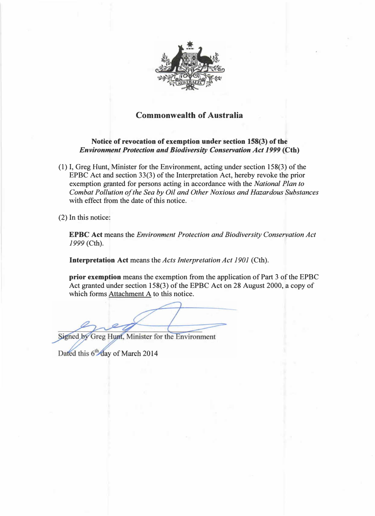

## Commonwealth of Australia

## Notice of revocation of exemption under section 158(3) of the Environment Protection and Biodiversity Conservation Act 1999 (Cth)

(1) I, Greg Hunt, Minister for the Environment, acting under section 158(3) of the EPBC Act and section 33(3) of the Interpretation Act, hereby revoke the prior exemption granted for persons acting in accordance with the *National Plan to* Combat Pollution of the Sea by Oil and Other Noxious and Hazardous Substances with effect from the date of this notice.

(2) In this notice:

EPBC Act means the Environment Protection and Biodiversity Conservation Act 1999 (Cth).

Interpretation Act means the Acts Interpretation Act 1901 (Cth).

prior exemption means the exemption from the application of Part 3 of the EPBC Act granted under section 158(3) of the EPBC Act on 28 August 2000, a copy of which forms  $Attachment A$  to this notice.

Signed by Greg Hunt, Minister for the Environment

Dated this 6th day of March 2014